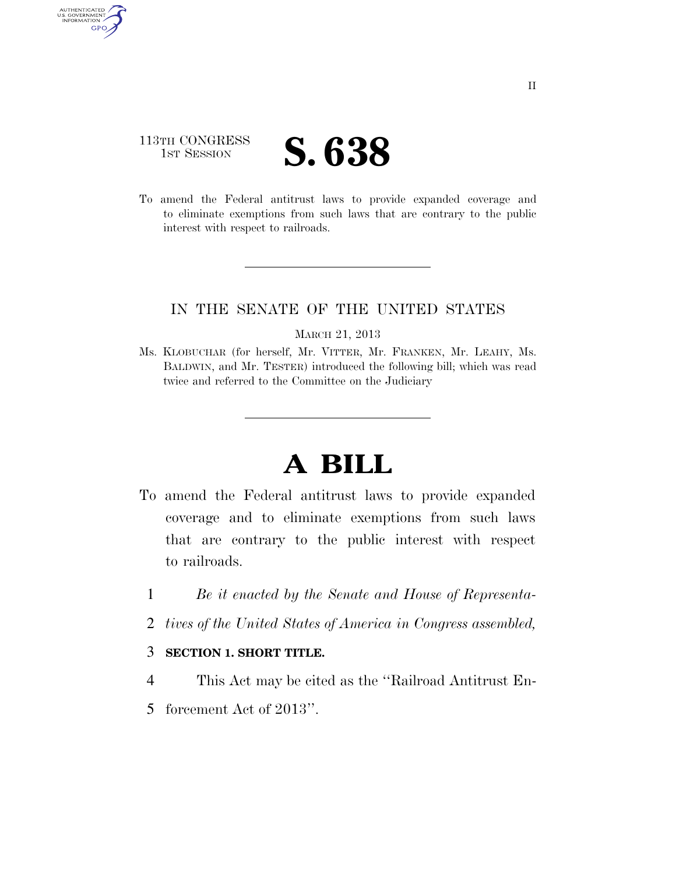## 113TH CONGRESS **IST SESSION S. 638**

AUTHENTICATED<br>U.S. GOVERNMENT<br>INFORMATION GPO

> To amend the Federal antitrust laws to provide expanded coverage and to eliminate exemptions from such laws that are contrary to the public interest with respect to railroads.

#### IN THE SENATE OF THE UNITED STATES

#### MARCH 21, 2013

Ms. KLOBUCHAR (for herself, Mr. VITTER, Mr. FRANKEN, Mr. LEAHY, Ms. BALDWIN, and Mr. TESTER) introduced the following bill; which was read twice and referred to the Committee on the Judiciary

# **A BILL**

- To amend the Federal antitrust laws to provide expanded coverage and to eliminate exemptions from such laws that are contrary to the public interest with respect to railroads.
	- 1 *Be it enacted by the Senate and House of Representa-*
	- 2 *tives of the United States of America in Congress assembled,*

#### 3 **SECTION 1. SHORT TITLE.**

- 4 This Act may be cited as the ''Railroad Antitrust En-
- 5 forcement Act of 2013''.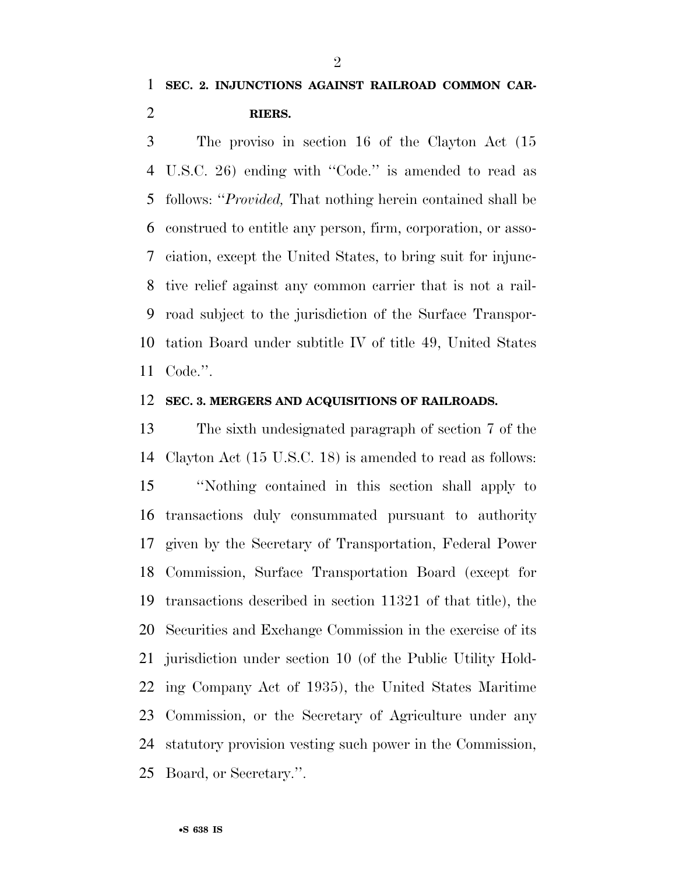$\mathfrak{D}$ 

 The proviso in section 16 of the Clayton Act (15 U.S.C. 26) ending with ''Code.'' is amended to read as follows: ''*Provided,* That nothing herein contained shall be construed to entitle any person, firm, corporation, or asso- ciation, except the United States, to bring suit for injunc- tive relief against any common carrier that is not a rail- road subject to the jurisdiction of the Surface Transpor- tation Board under subtitle IV of title 49, United States Code.''.

#### **SEC. 3. MERGERS AND ACQUISITIONS OF RAILROADS.**

 The sixth undesignated paragraph of section 7 of the Clayton Act (15 U.S.C. 18) is amended to read as follows: ''Nothing contained in this section shall apply to transactions duly consummated pursuant to authority given by the Secretary of Transportation, Federal Power Commission, Surface Transportation Board (except for transactions described in section 11321 of that title), the Securities and Exchange Commission in the exercise of its jurisdiction under section 10 (of the Public Utility Hold- ing Company Act of 1935), the United States Maritime Commission, or the Secretary of Agriculture under any statutory provision vesting such power in the Commission, Board, or Secretary.''.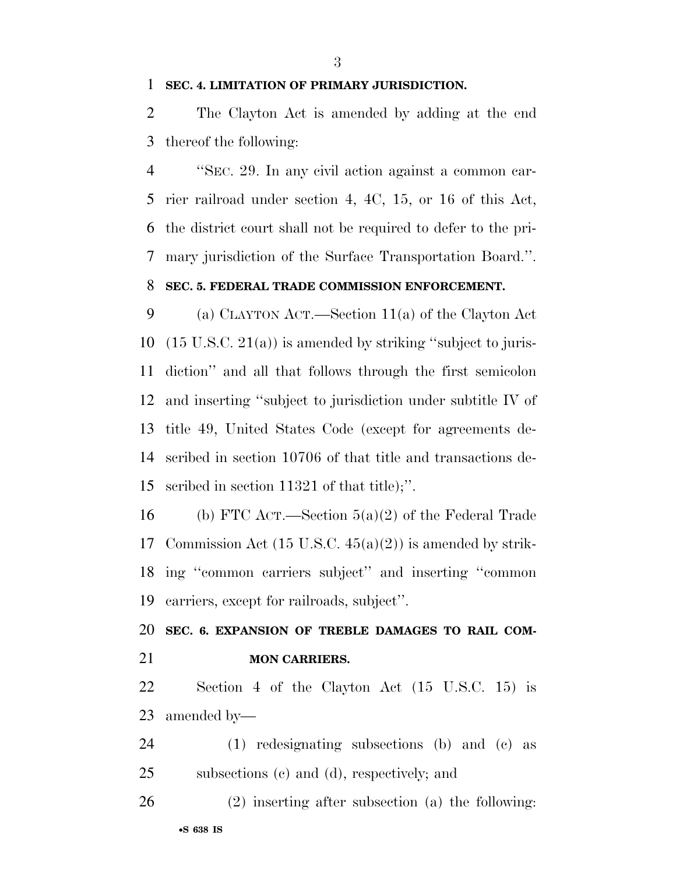#### **SEC. 4. LIMITATION OF PRIMARY JURISDICTION.**

 The Clayton Act is amended by adding at the end thereof the following:

 ''SEC. 29. In any civil action against a common car- rier railroad under section 4, 4C, 15, or 16 of this Act, the district court shall not be required to defer to the pri- mary jurisdiction of the Surface Transportation Board.''. **SEC. 5. FEDERAL TRADE COMMISSION ENFORCEMENT.** 

 (a) CLAYTON ACT.—Section 11(a) of the Clayton Act (15 U.S.C. 21(a)) is amended by striking ''subject to juris- diction'' and all that follows through the first semicolon and inserting ''subject to jurisdiction under subtitle IV of title 49, United States Code (except for agreements de- scribed in section 10706 of that title and transactions de-scribed in section 11321 of that title);''.

 (b) FTC ACT.—Section 5(a)(2) of the Federal Trade Commission Act (15 U.S.C. 45(a)(2)) is amended by strik- ing ''common carriers subject'' and inserting ''common carriers, except for railroads, subject''.

 **SEC. 6. EXPANSION OF TREBLE DAMAGES TO RAIL COM-MON CARRIERS.** 

 Section 4 of the Clayton Act (15 U.S.C. 15) is amended by—

 (1) redesignating subsections (b) and (c) as subsections (c) and (d), respectively; and

•**S 638 IS** (2) inserting after subsection (a) the following: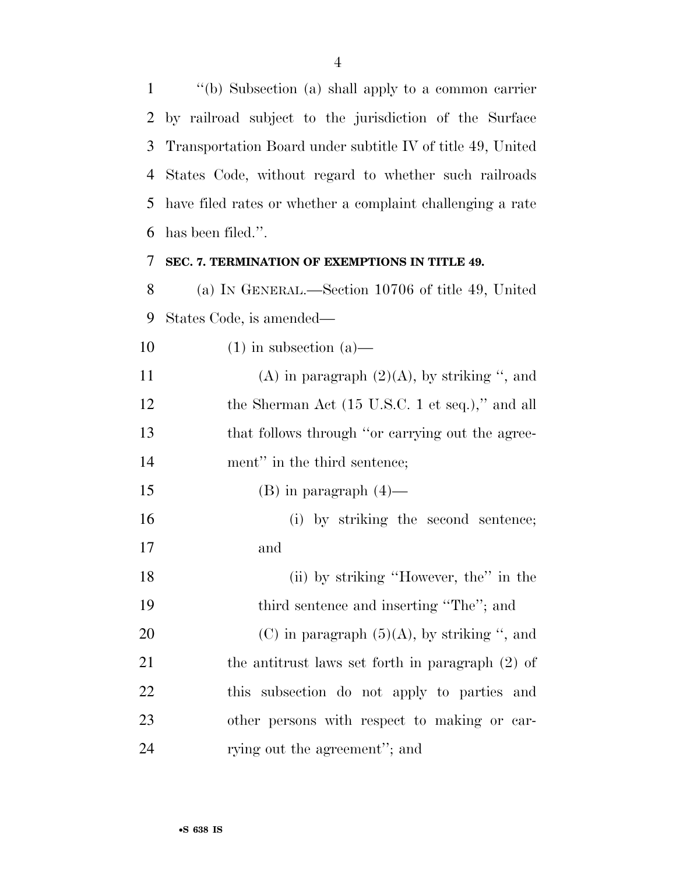''(b) Subsection (a) shall apply to a common carrier by railroad subject to the jurisdiction of the Surface Transportation Board under subtitle IV of title 49, United States Code, without regard to whether such railroads have filed rates or whether a complaint challenging a rate has been filed.''.

### **SEC. 7. TERMINATION OF EXEMPTIONS IN TITLE 49.**

 (a) IN GENERAL.—Section 10706 of title 49, United States Code, is amended—

10 (1) in subsection  $(a)$ — 11 (A) in paragraph  $(2)(A)$ , by striking ", and 12 the Sherman Act (15 U.S.C. 1 et seq.)," and all that follows through ''or carrying out the agree-14 ment" in the third sentence; 15 (B) in paragraph  $(4)$ — (i) by striking the second sentence; and (ii) by striking ''However, the'' in the third sentence and inserting ''The''; and 20 (C) in paragraph  $(5)(A)$ , by striking ", and the antitrust laws set forth in paragraph (2) of this subsection do not apply to parties and

other persons with respect to making or car-

24 rying out the agreement''; and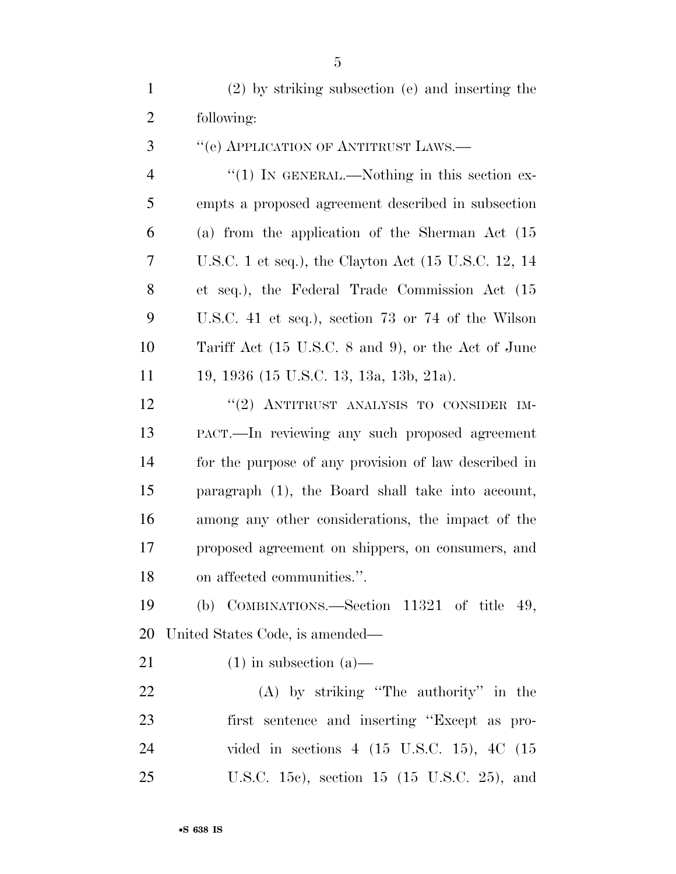(2) by striking subsection (e) and inserting the following:

3 "(e) APPLICATION OF ANTITRUST LAWS.— 4 "(1) In GENERAL.—Nothing in this section ex- empts a proposed agreement described in subsection (a) from the application of the Sherman Act (15 U.S.C. 1 et seq.), the Clayton Act (15 U.S.C. 12, 14 et seq.), the Federal Trade Commission Act (15 U.S.C. 41 et seq.), section 73 or 74 of the Wilson Tariff Act (15 U.S.C. 8 and 9), or the Act of June 19, 1936 (15 U.S.C. 13, 13a, 13b, 21a). 12 "(2) ANTITRUST ANALYSIS TO CONSIDER IM- PACT.—In reviewing any such proposed agreement for the purpose of any provision of law described in

 paragraph (1), the Board shall take into account, among any other considerations, the impact of the proposed agreement on shippers, on consumers, and on affected communities.''.

 (b) COMBINATIONS.—Section 11321 of title 49, United States Code, is amended—

21 (1) in subsection  $(a)$ —

 (A) by striking ''The authority'' in the first sentence and inserting ''Except as pro- vided in sections 4 (15 U.S.C. 15), 4C (15 U.S.C. 15c), section 15 (15 U.S.C. 25), and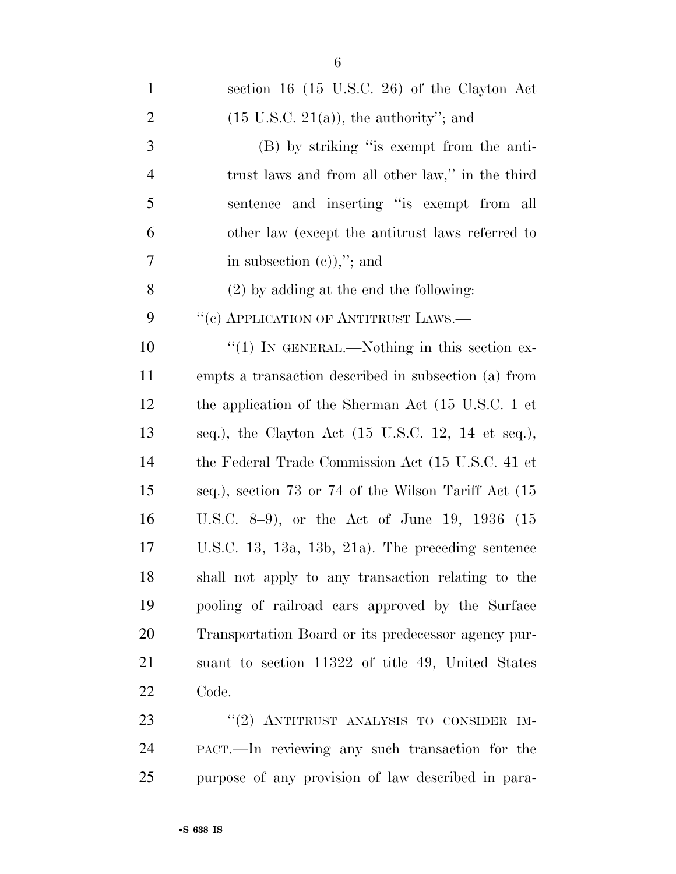| $\mathbf{1}$   | section 16 $(15 \text{ U.S.C. } 26)$ of the Clayton Act               |
|----------------|-----------------------------------------------------------------------|
| $\overline{2}$ | $(15 \text{ U.S.C. } 21(a))$ , the authority"; and                    |
| 3              | (B) by striking "is exempt from the anti-                             |
| $\overline{4}$ | trust laws and from all other law," in the third                      |
| 5              | sentence and inserting "is exempt from all                            |
| 6              | other law (except the antitrust laws referred to                      |
| 7              | in subsection $(e)$ ,"; and                                           |
| 8              | $(2)$ by adding at the end the following:                             |
| 9              | "(c) APPLICATION OF ANTITRUST LAWS.—                                  |
| 10             | " $(1)$ IN GENERAL.—Nothing in this section ex-                       |
| 11             | empts a transaction described in subsection (a) from                  |
| 12             | the application of the Sherman Act (15 U.S.C. 1 et                    |
| 13             | seq.), the Clayton Act $(15 \text{ U.S.C. } 12, 14 \text{ et seq.}),$ |
| 14             | the Federal Trade Commission Act (15 U.S.C. 41 et                     |
| 15             | seq.), section 73 or 74 of the Wilson Tariff Act (15                  |
| 16             | U.S.C. 8-9), or the Act of June 19, 1936 $(15$                        |
| 17             | U.S.C. 13, 13a, 13b, 21a). The preceding sentence                     |
| 18             | shall not apply to any transaction relating to the                    |
| 19             | pooling of railroad cars approved by the Surface                      |
| 20             | Transportation Board or its predecessor agency pur-                   |
| 21             | suant to section 11322 of title 49, United States                     |
| 22             | Code.                                                                 |
| 23             | "(2) ANTITRUST ANALYSIS TO CONSIDER IM-                               |
| 24             | PACT.—In reviewing any such transaction for the                       |

purpose of any provision of law described in para-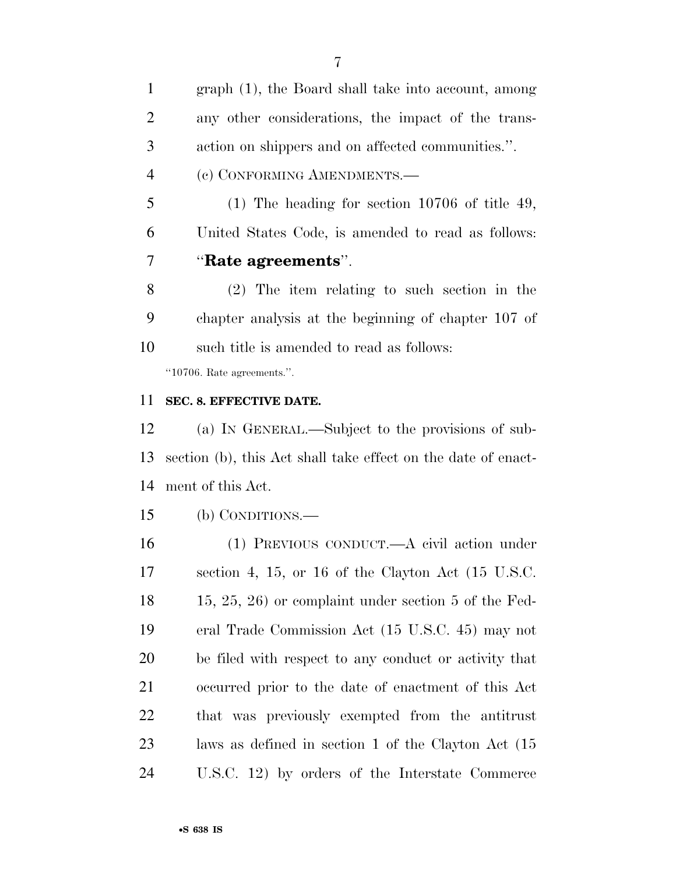graph (1), the Board shall take into account, among any other considerations, the impact of the trans-action on shippers and on affected communities.''.

(c) CONFORMING AMENDMENTS.—

 (1) The heading for section 10706 of title 49, United States Code, is amended to read as follows: ''**Rate agreements**''.

 (2) The item relating to such section in the chapter analysis at the beginning of chapter 107 of such title is amended to read as follows:

''10706. Rate agreements.''.

### **SEC. 8. EFFECTIVE DATE.**

 (a) IN GENERAL.—Subject to the provisions of sub- section (b), this Act shall take effect on the date of enact-ment of this Act.

(b) CONDITIONS.—

 (1) PREVIOUS CONDUCT.—A civil action under section 4, 15, or 16 of the Clayton Act (15 U.S.C. 15, 25, 26) or complaint under section 5 of the Fed- eral Trade Commission Act (15 U.S.C. 45) may not be filed with respect to any conduct or activity that occurred prior to the date of enactment of this Act that was previously exempted from the antitrust laws as defined in section 1 of the Clayton Act (15 U.S.C. 12) by orders of the Interstate Commerce